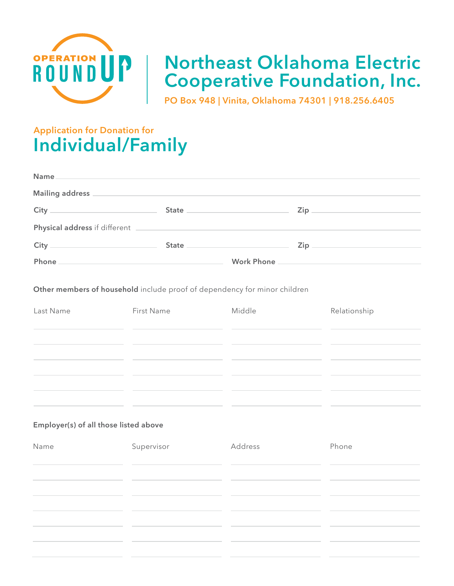

# **Northeast Oklahoma Electric Cooperative Foundation, Inc.**

**PO Box 948 | Vinita, Oklahoma 74301 | 918.256.6405**

# **Application for Donation for Individual/Family**

| Name and the second contract of the second contract of the second contract of the second contract of the second contract of the second contract of the second contract of the second contract of the second contract of the se |                                                                                                                                                                                                                                      |                                                                                                               |
|--------------------------------------------------------------------------------------------------------------------------------------------------------------------------------------------------------------------------------|--------------------------------------------------------------------------------------------------------------------------------------------------------------------------------------------------------------------------------------|---------------------------------------------------------------------------------------------------------------|
|                                                                                                                                                                                                                                |                                                                                                                                                                                                                                      |                                                                                                               |
|                                                                                                                                                                                                                                | State <u>Communications</u> Cip Communications Cip                                                                                                                                                                                   |                                                                                                               |
|                                                                                                                                                                                                                                | Physical address if different <b>contract to the contract of the contract of the contract of the contract of the contract of the contract of the contract of the contract of the contract of the contract of the contract of the</b> |                                                                                                               |
|                                                                                                                                                                                                                                | State <u>and State State</u> and State State and State State and State and State and State State and State and State and State and State and State and State and State and State and State and State and State and State and State   |                                                                                                               |
| Phone.<br><u> 1989 - Johann Barbara, martxa alemaniar argumento este alemaniar alemaniar alemaniar alemaniar alemaniar al</u>                                                                                                  |                                                                                                                                                                                                                                      | Work Phone 2008 and 2008 and 2008 and 2008 and 2008 and 2008 and 2008 and 2008 and 2008 and 2008 and 2008 and |

**Other members of household** include proof of dependency for minor children

| Last Name | First Name | Middle | Relationship |
|-----------|------------|--------|--------------|
|           |            |        |              |
|           |            |        |              |
|           |            |        |              |
|           |            |        |              |
|           |            |        |              |
|           |            |        |              |

#### **Employer(s) of all those listed above**

| Name | Supervisor | Address | Phone |
|------|------------|---------|-------|
|      |            |         |       |
|      |            |         |       |
|      |            |         |       |
|      |            |         |       |
|      |            |         |       |
|      |            |         |       |
|      |            |         |       |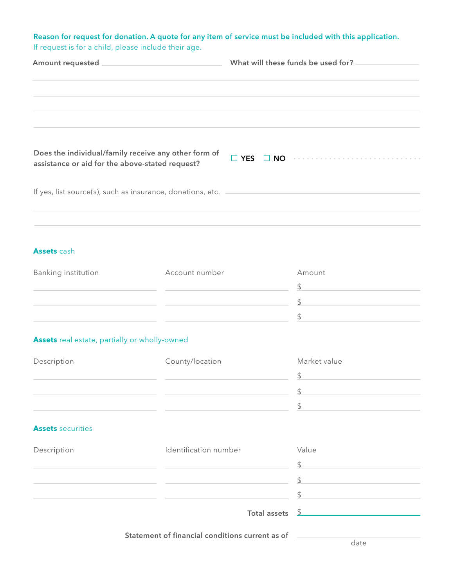**Reason for request for donation. A quote for any item of service must be included with this application.** If request is for a child, please include their age.

|                                                                                                         |  | What will these funds be used for?                                         |
|---------------------------------------------------------------------------------------------------------|--|----------------------------------------------------------------------------|
|                                                                                                         |  |                                                                            |
|                                                                                                         |  |                                                                            |
| Does the individual/family receive any other form of<br>assistance or aid for the above-stated request? |  | $\Box$ YES $\Box$ NO $\cdots$ $\cdots$ $\cdots$ $\cdots$ $\cdots$ $\cdots$ |
| If yes, list source(s), such as insurance, donations, etc.                                              |  |                                                                            |
|                                                                                                         |  |                                                                            |

#### **Assets** cash

| <b>Banking institution</b> | Account number | Amount |
|----------------------------|----------------|--------|
|                            |                |        |
|                            |                |        |
|                            |                |        |

### **Assets** real estate, partially or wholly-owned

| Description | County/location | Market value |
|-------------|-----------------|--------------|
|             |                 |              |
|             |                 |              |
|             |                 |              |

#### **Assets** securities

| Description | Identification number      | Value |
|-------------|----------------------------|-------|
|             |                            |       |
|             |                            |       |
|             |                            |       |
|             | Total assets $\frac{6}{2}$ |       |

**Statement of financial conditions current as of**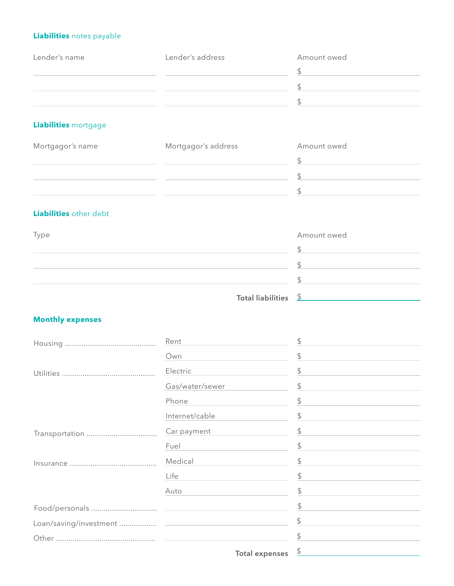# **Liabilities** notes payable

| Lender's name | Lender's address | Amount owed |
|---------------|------------------|-------------|
|               |                  |             |
|               |                  |             |
|               |                  |             |

## **Liabilities** mortgage

| Mortgagor's name | Mortgagor's address | Amount owed |
|------------------|---------------------|-------------|
|                  |                     |             |
|                  |                     |             |
|                  |                     |             |

# **Liabilities** other debt

| Type                            | Amount owed |
|---------------------------------|-------------|
|                                 |             |
|                                 |             |
|                                 |             |
| Total liabilities $\frac{6}{2}$ |             |

### **Monthly expenses**

| Rent                                                                                                            | \$             |
|-----------------------------------------------------------------------------------------------------------------|----------------|
| Own                                                                                                             | \$             |
| Electric                                                                                                        | \$             |
| Gas/water/sewer                                                                                                 | \$             |
| Phone                                                                                                           | \$             |
| Internet/cable                                                                                                  | $\updownarrow$ |
| Car payment                                                                                                     | \$             |
| Fuel                                                                                                            | \$             |
| Medical                                                                                                         | $\frac{1}{2}$  |
| Life                                                                                                            | \$             |
| Auto                                                                                                            | \$             |
|                                                                                                                 | S              |
|                                                                                                                 | \$             |
|                                                                                                                 |                |
| the contract of the contract of the contract of the contract of the contract of the contract of the contract of | ¢              |

Total expenses \$